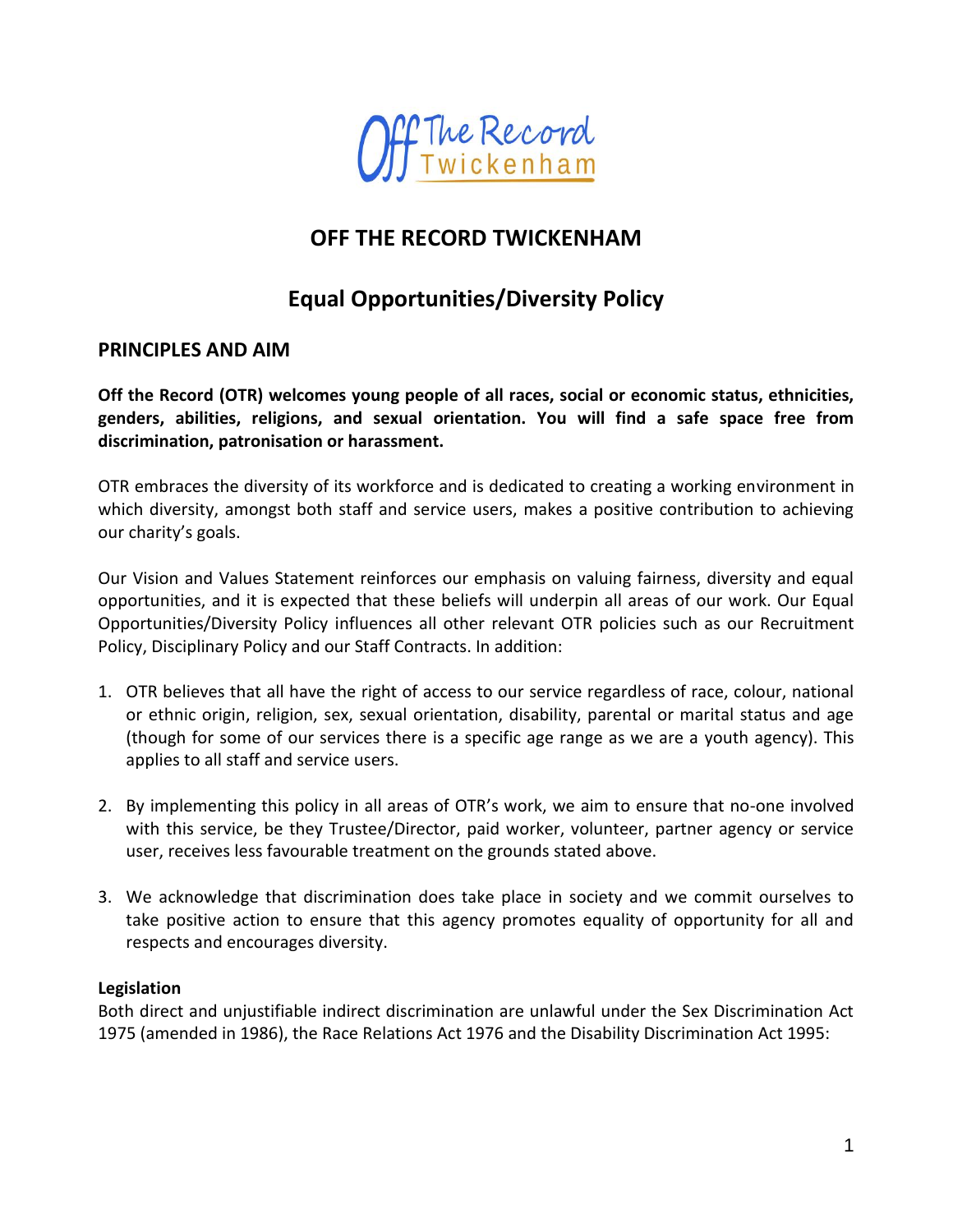

## **OFF THE RECORD TWICKENHAM**

# **Equal Opportunities/Diversity Policy**

## **PRINCIPLES AND AIM**

**Off the Record (OTR) welcomes young people of all races, social or economic status, ethnicities, genders, abilities, religions, and sexual orientation. You will find a safe space free from discrimination, patronisation or harassment.**

OTR embraces the diversity of its workforce and is dedicated to creating a working environment in which diversity, amongst both staff and service users, makes a positive contribution to achieving our charity's goals.

Our Vision and Values Statement reinforces our emphasis on valuing fairness, diversity and equal opportunities, and it is expected that these beliefs will underpin all areas of our work. Our Equal Opportunities/Diversity Policy influences all other relevant OTR policies such as our Recruitment Policy, Disciplinary Policy and our Staff Contracts. In addition:

- 1. OTR believes that all have the right of access to our service regardless of race, colour, national or ethnic origin, religion, sex, sexual orientation, disability, parental or marital status and age (though for some of our services there is a specific age range as we are a youth agency). This applies to all staff and service users.
- 2. By implementing this policy in all areas of OTR's work, we aim to ensure that no-one involved with this service, be they Trustee/Director, paid worker, volunteer, partner agency or service user, receives less favourable treatment on the grounds stated above.
- 3. We acknowledge that discrimination does take place in society and we commit ourselves to take positive action to ensure that this agency promotes equality of opportunity for all and respects and encourages diversity.

## **Legislation**

Both direct and unjustifiable indirect discrimination are unlawful under the Sex Discrimination Act 1975 (amended in 1986), the Race Relations Act 1976 and the Disability Discrimination Act 1995: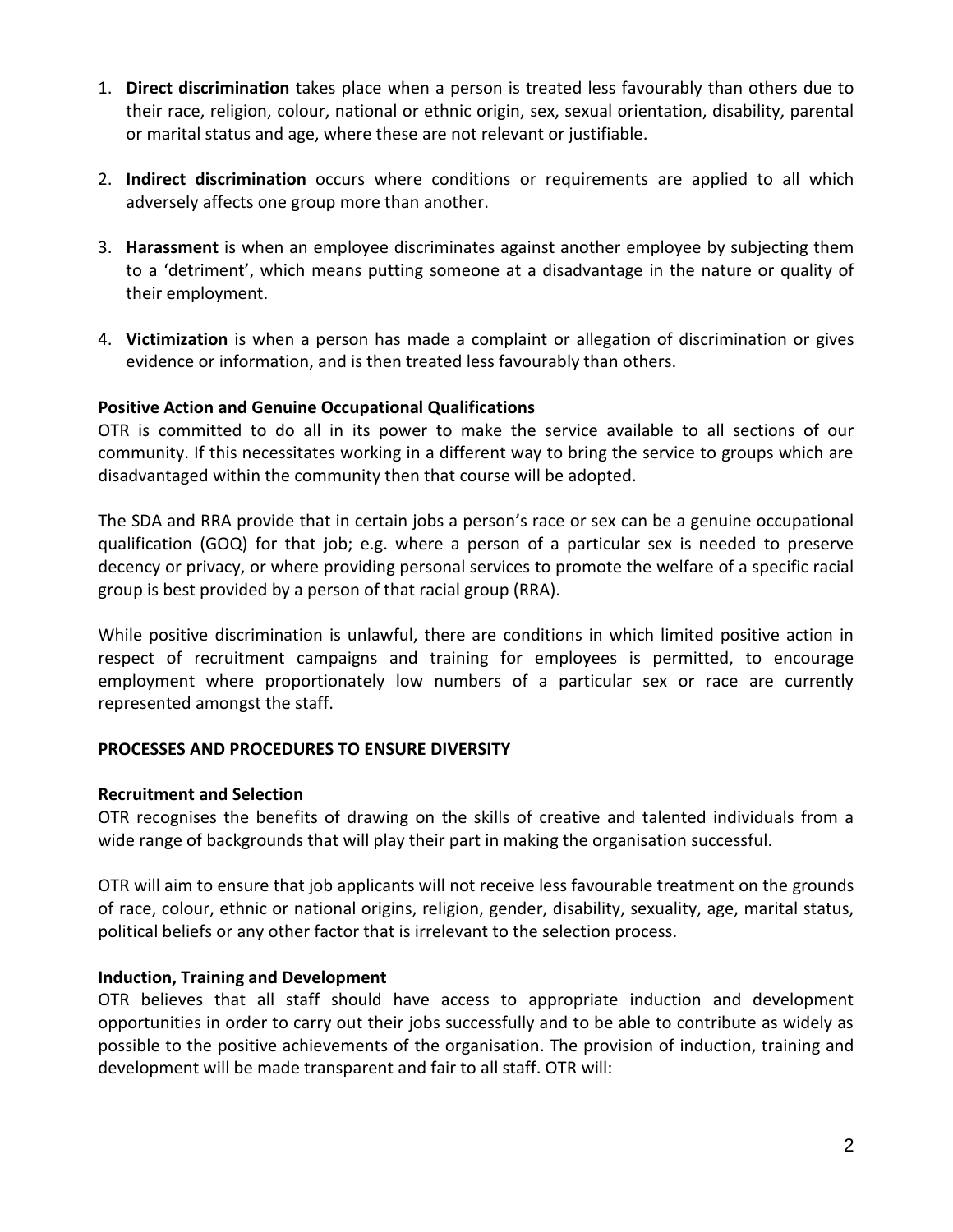- 1. **Direct discrimination** takes place when a person is treated less favourably than others due to their race, religion, colour, national or ethnic origin, sex, sexual orientation, disability, parental or marital status and age, where these are not relevant or justifiable.
- 2. **Indirect discrimination** occurs where conditions or requirements are applied to all which adversely affects one group more than another.
- 3. **Harassment** is when an employee discriminates against another employee by subjecting them to a 'detriment', which means putting someone at a disadvantage in the nature or quality of their employment.
- 4. **Victimization** is when a person has made a complaint or allegation of discrimination or gives evidence or information, and is then treated less favourably than others.

## **Positive Action and Genuine Occupational Qualifications**

OTR is committed to do all in its power to make the service available to all sections of our community. If this necessitates working in a different way to bring the service to groups which are disadvantaged within the community then that course will be adopted.

The SDA and RRA provide that in certain jobs a person's race or sex can be a genuine occupational qualification (GOQ) for that job; e.g. where a person of a particular sex is needed to preserve decency or privacy, or where providing personal services to promote the welfare of a specific racial group is best provided by a person of that racial group (RRA).

While positive discrimination is unlawful, there are conditions in which limited positive action in respect of recruitment campaigns and training for employees is permitted, to encourage employment where proportionately low numbers of a particular sex or race are currently represented amongst the staff.

### **PROCESSES AND PROCEDURES TO ENSURE DIVERSITY**

### **Recruitment and Selection**

OTR recognises the benefits of drawing on the skills of creative and talented individuals from a wide range of backgrounds that will play their part in making the organisation successful.

OTR will aim to ensure that job applicants will not receive less favourable treatment on the grounds of race, colour, ethnic or national origins, religion, gender, disability, sexuality, age, marital status, political beliefs or any other factor that is irrelevant to the selection process.

### **Induction, Training and Development**

OTR believes that all staff should have access to appropriate induction and development opportunities in order to carry out their jobs successfully and to be able to contribute as widely as possible to the positive achievements of the organisation. The provision of induction, training and development will be made transparent and fair to all staff. OTR will: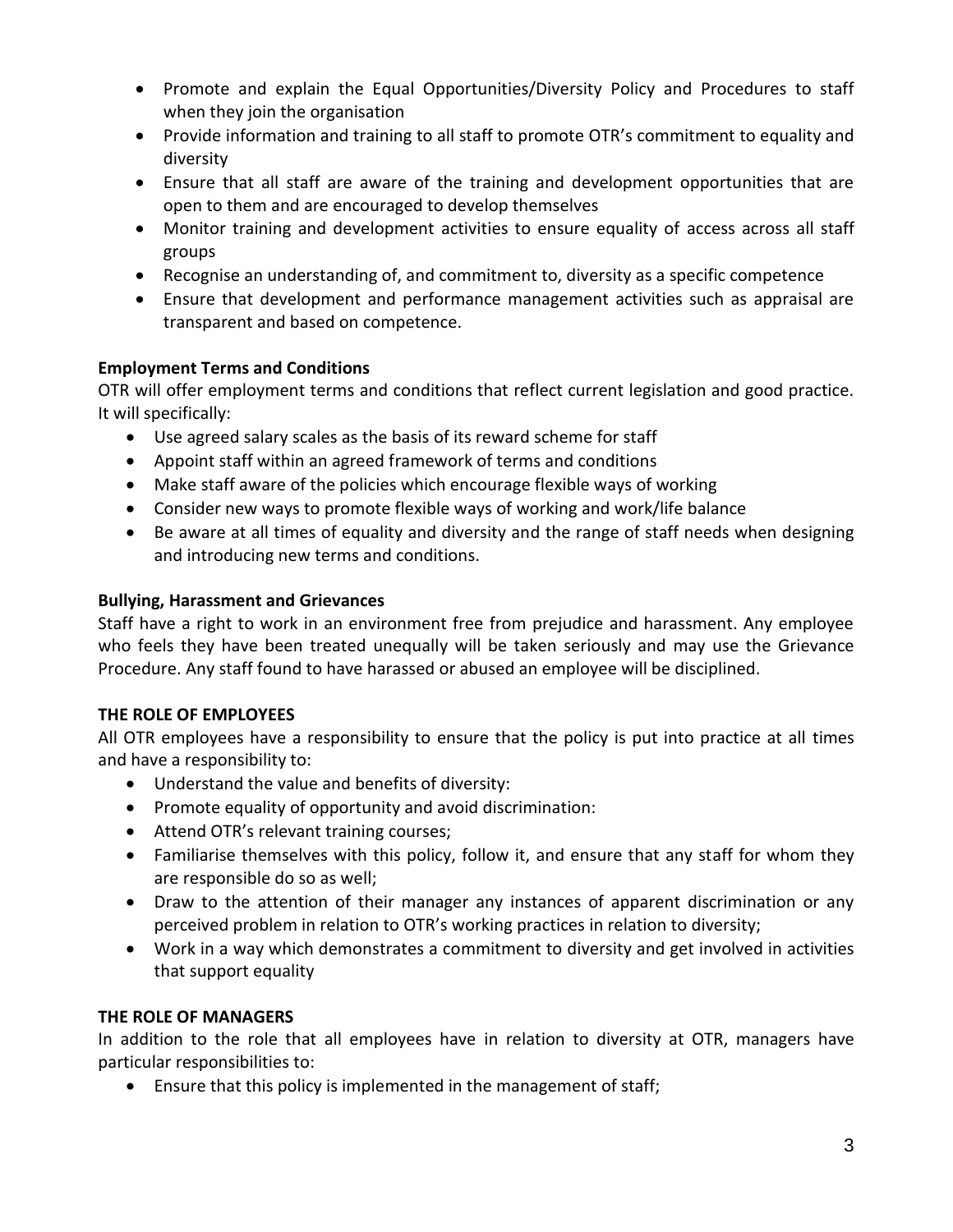- Promote and explain the Equal Opportunities/Diversity Policy and Procedures to staff when they join the organisation
- Provide information and training to all staff to promote OTR's commitment to equality and diversity
- Ensure that all staff are aware of the training and development opportunities that are open to them and are encouraged to develop themselves
- Monitor training and development activities to ensure equality of access across all staff groups
- Recognise an understanding of, and commitment to, diversity as a specific competence
- Ensure that development and performance management activities such as appraisal are transparent and based on competence.

## **Employment Terms and Conditions**

OTR will offer employment terms and conditions that reflect current legislation and good practice. It will specifically:

- Use agreed salary scales as the basis of its reward scheme for staff
- Appoint staff within an agreed framework of terms and conditions
- Make staff aware of the policies which encourage flexible ways of working
- Consider new ways to promote flexible ways of working and work/life balance
- Be aware at all times of equality and diversity and the range of staff needs when designing and introducing new terms and conditions.

### **Bullying, Harassment and Grievances**

Staff have a right to work in an environment free from prejudice and harassment. Any employee who feels they have been treated unequally will be taken seriously and may use the Grievance Procedure. Any staff found to have harassed or abused an employee will be disciplined.

### **THE ROLE OF EMPLOYEES**

All OTR employees have a responsibility to ensure that the policy is put into practice at all times and have a responsibility to:

- Understand the value and benefits of diversity:
- Promote equality of opportunity and avoid discrimination:
- Attend OTR's relevant training courses;
- Familiarise themselves with this policy, follow it, and ensure that any staff for whom they are responsible do so as well;
- Draw to the attention of their manager any instances of apparent discrimination or any perceived problem in relation to OTR's working practices in relation to diversity;
- Work in a way which demonstrates a commitment to diversity and get involved in activities that support equality

### **THE ROLE OF MANAGERS**

In addition to the role that all employees have in relation to diversity at OTR, managers have particular responsibilities to:

• Ensure that this policy is implemented in the management of staff;